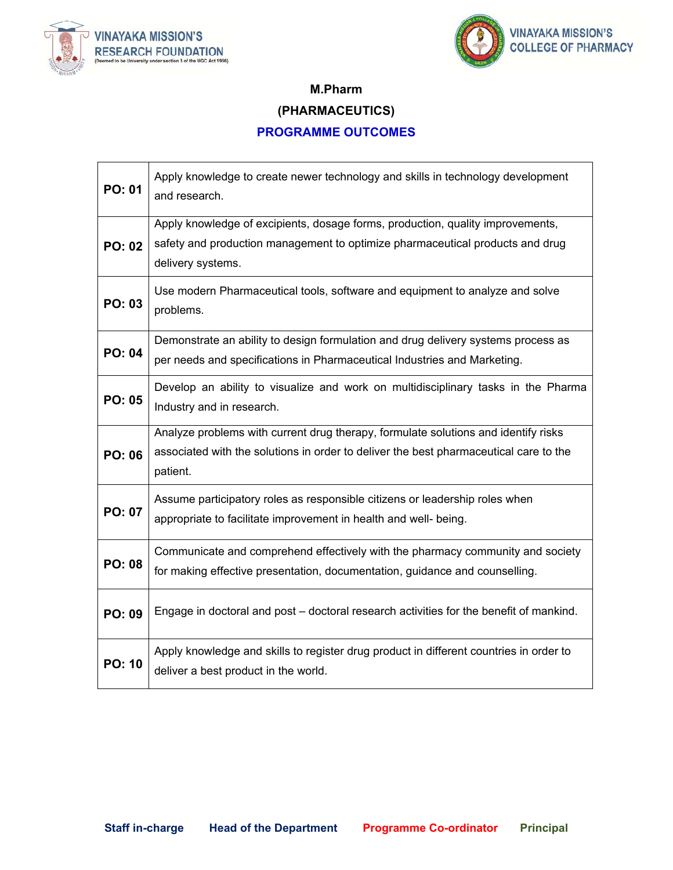



#### **M.Pharm**

#### **(PHARMACEUTICS)**

#### **PROGRAMME OUTCOMES**

| <b>PO: 01</b> | Apply knowledge to create newer technology and skills in technology development<br>and research.                                                                                        |
|---------------|-----------------------------------------------------------------------------------------------------------------------------------------------------------------------------------------|
| <b>PO: 02</b> | Apply knowledge of excipients, dosage forms, production, quality improvements,<br>safety and production management to optimize pharmaceutical products and drug<br>delivery systems.    |
| <b>PO: 03</b> | Use modern Pharmaceutical tools, software and equipment to analyze and solve<br>problems.                                                                                               |
| <b>PO: 04</b> | Demonstrate an ability to design formulation and drug delivery systems process as<br>per needs and specifications in Pharmaceutical Industries and Marketing.                           |
| <b>PO: 05</b> | Develop an ability to visualize and work on multidisciplinary tasks in the Pharma<br>Industry and in research.                                                                          |
| <b>PO: 06</b> | Analyze problems with current drug therapy, formulate solutions and identify risks<br>associated with the solutions in order to deliver the best pharmaceutical care to the<br>patient. |
| <b>PO: 07</b> | Assume participatory roles as responsible citizens or leadership roles when<br>appropriate to facilitate improvement in health and well- being.                                         |
| <b>PO: 08</b> | Communicate and comprehend effectively with the pharmacy community and society<br>for making effective presentation, documentation, guidance and counselling.                           |
| <b>PO: 09</b> | Engage in doctoral and post – doctoral research activities for the benefit of mankind.                                                                                                  |
| <b>PO: 10</b> | Apply knowledge and skills to register drug product in different countries in order to<br>deliver a best product in the world.                                                          |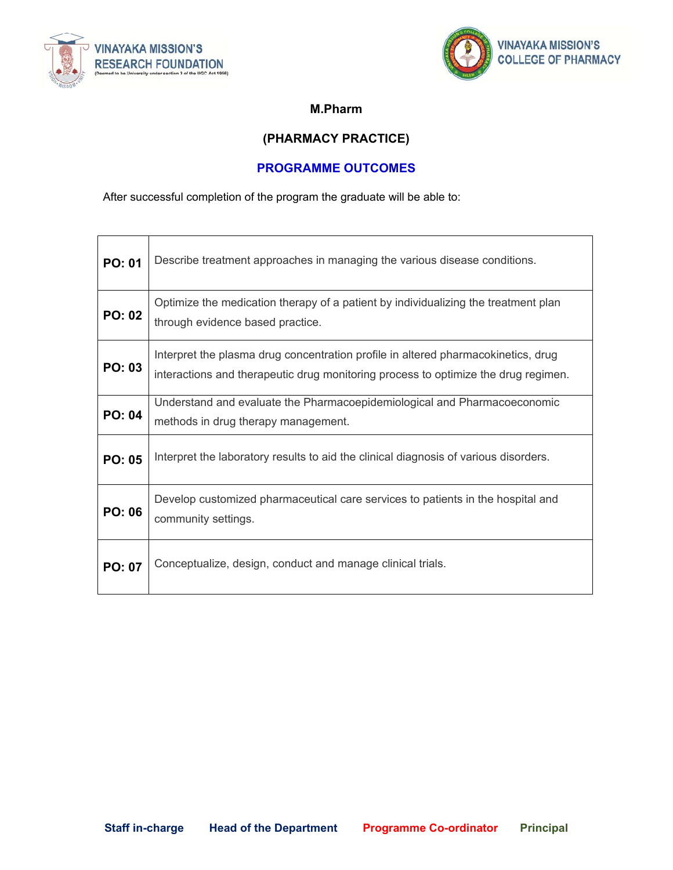



#### **M.Pharm**

### **(PHARMACY PRACTICE)**

#### **PROGRAMME OUTCOMES**

After successful completion of the program the graduate will be able to:

| <b>PO: 01</b> | Describe treatment approaches in managing the various disease conditions.                                                                                               |
|---------------|-------------------------------------------------------------------------------------------------------------------------------------------------------------------------|
| <b>PO: 02</b> | Optimize the medication therapy of a patient by individualizing the treatment plan<br>through evidence based practice.                                                  |
| <b>PO: 03</b> | Interpret the plasma drug concentration profile in altered pharmacokinetics, drug<br>interactions and therapeutic drug monitoring process to optimize the drug regimen. |
| <b>PO: 04</b> | Understand and evaluate the Pharmacoepidemiological and Pharmacoeconomic<br>methods in drug therapy management.                                                         |
| <b>PO: 05</b> | Interpret the laboratory results to aid the clinical diagnosis of various disorders.                                                                                    |
| <b>PO: 06</b> | Develop customized pharmaceutical care services to patients in the hospital and<br>community settings.                                                                  |
| <b>PO: 07</b> | Conceptualize, design, conduct and manage clinical trials.                                                                                                              |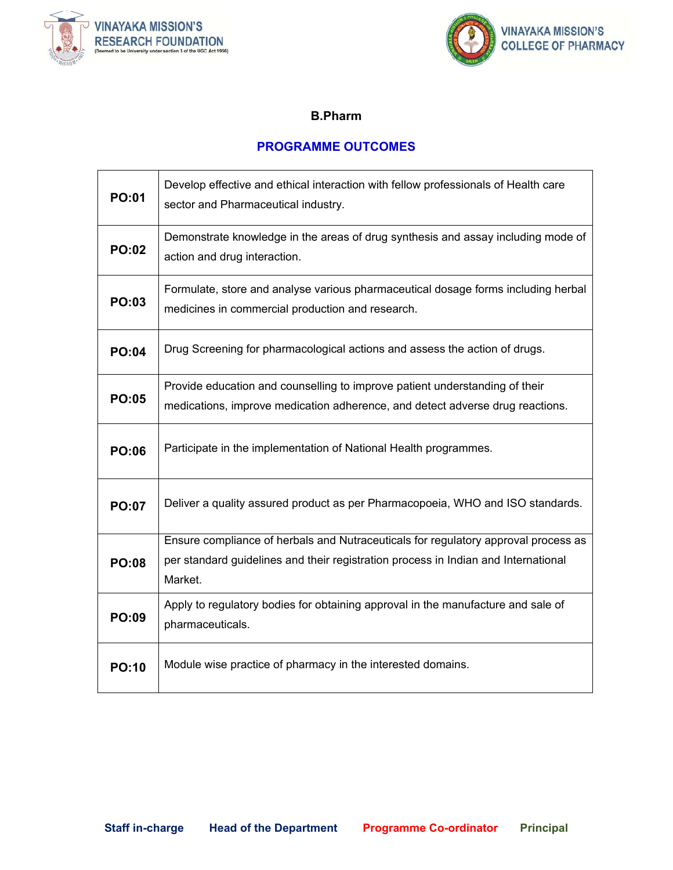



#### **B.Pharm**

#### **PROGRAMME OUTCOMES**

| <b>PO:01</b> | Develop effective and ethical interaction with fellow professionals of Health care<br>sector and Pharmaceutical industry.                                                           |
|--------------|-------------------------------------------------------------------------------------------------------------------------------------------------------------------------------------|
| <b>PO:02</b> | Demonstrate knowledge in the areas of drug synthesis and assay including mode of<br>action and drug interaction.                                                                    |
| <b>PO:03</b> | Formulate, store and analyse various pharmaceutical dosage forms including herbal<br>medicines in commercial production and research.                                               |
| <b>PO:04</b> | Drug Screening for pharmacological actions and assess the action of drugs.                                                                                                          |
| <b>PO:05</b> | Provide education and counselling to improve patient understanding of their<br>medications, improve medication adherence, and detect adverse drug reactions.                        |
| <b>PO:06</b> | Participate in the implementation of National Health programmes.                                                                                                                    |
| <b>PO:07</b> | Deliver a quality assured product as per Pharmacopoeia, WHO and ISO standards.                                                                                                      |
| <b>PO:08</b> | Ensure compliance of herbals and Nutraceuticals for regulatory approval process as<br>per standard guidelines and their registration process in Indian and International<br>Market. |
| <b>PO:09</b> | Apply to regulatory bodies for obtaining approval in the manufacture and sale of<br>pharmaceuticals.                                                                                |
| <b>PO:10</b> | Module wise practice of pharmacy in the interested domains.                                                                                                                         |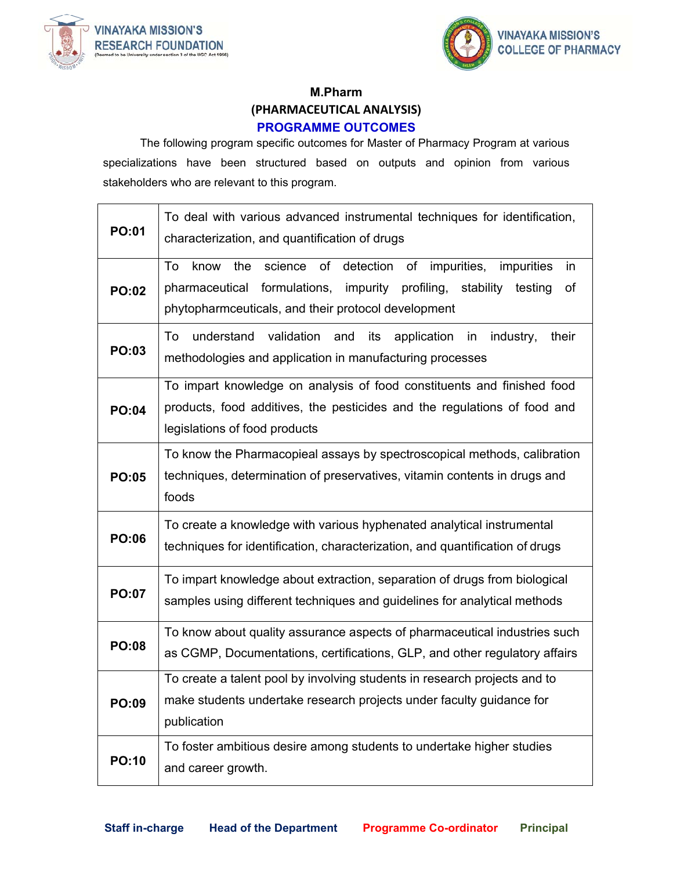



### **M.Pharm (PHARMACEUTICAL ANALYSIS) PROGRAMME OUTCOMES**

 The following program specific outcomes for Master of Pharmacy Program at various specializations have been structured based on outputs and opinion from various stakeholders who are relevant to this program.

| <b>PO:01</b> | To deal with various advanced instrumental techniques for identification,<br>characterization, and quantification of drugs                                                                                                     |
|--------------|--------------------------------------------------------------------------------------------------------------------------------------------------------------------------------------------------------------------------------|
| <b>PO:02</b> | science of detection of impurities,<br>the<br>impurities<br>To<br>know<br>in<br>formulations,<br>pharmaceutical<br>impurity<br>profiling,<br>stability<br>of<br>testing<br>phytopharmceuticals, and their protocol development |
| <b>PO:03</b> | understand validation<br>and<br>its<br>application in industry,<br>their<br>To<br>methodologies and application in manufacturing processes                                                                                     |
| <b>PO:04</b> | To impart knowledge on analysis of food constituents and finished food<br>products, food additives, the pesticides and the regulations of food and<br>legislations of food products                                            |
| <b>PO:05</b> | To know the Pharmacopieal assays by spectroscopical methods, calibration<br>techniques, determination of preservatives, vitamin contents in drugs and<br>foods                                                                 |
| <b>PO:06</b> | To create a knowledge with various hyphenated analytical instrumental<br>techniques for identification, characterization, and quantification of drugs                                                                          |
| <b>PO:07</b> | To impart knowledge about extraction, separation of drugs from biological<br>samples using different techniques and guidelines for analytical methods                                                                          |
| <b>PO:08</b> | To know about quality assurance aspects of pharmaceutical industries such<br>as CGMP, Documentations, certifications, GLP, and other regulatory affairs                                                                        |
| PO:09        | To create a talent pool by involving students in research projects and to<br>make students undertake research projects under faculty guidance for<br>publication                                                               |
| <b>PO:10</b> | To foster ambitious desire among students to undertake higher studies<br>and career growth.                                                                                                                                    |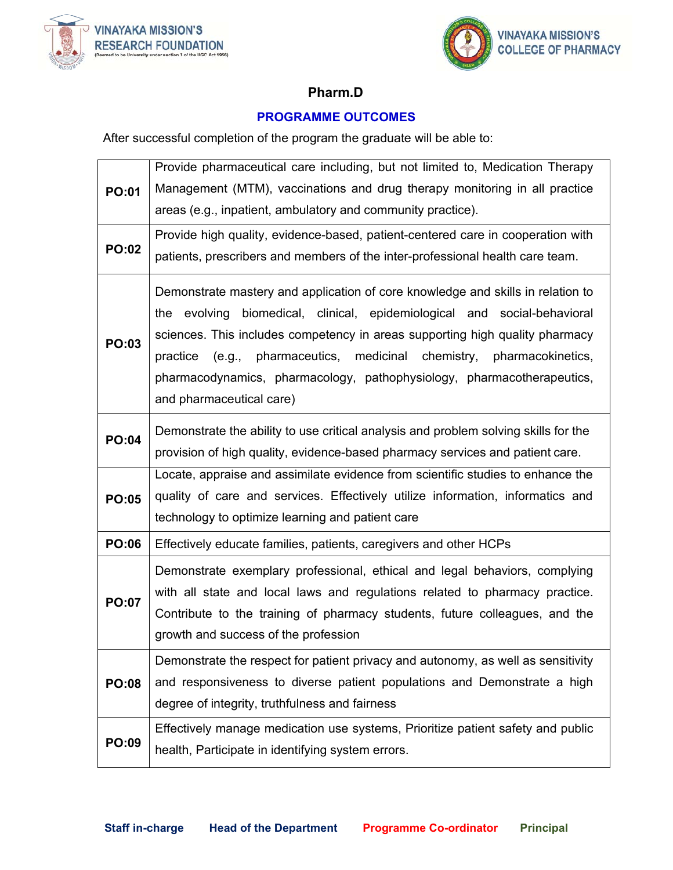



# **Pharm.D**

# **PROGRAMME OUTCOMES**

After successful completion of the program the graduate will be able to:

| Management (MTM), vaccinations and drug therapy monitoring in all practice<br><b>PO:01</b><br>areas (e.g., inpatient, ambulatory and community practice).<br>Provide high quality, evidence-based, patient-centered care in cooperation with<br><b>PO:02</b><br>patients, prescribers and members of the inter-professional health care team.<br>Demonstrate mastery and application of core knowledge and skills in relation to<br>the evolving biomedical, clinical, epidemiological and social-behavioral<br>sciences. This includes competency in areas supporting high quality pharmacy<br><b>PO:03</b><br>(e.g., pharmaceutics, medicinal chemistry, pharmacokinetics,<br>practice<br>pharmacodynamics, pharmacology, pathophysiology, pharmacotherapeutics,<br>and pharmaceutical care)<br>Demonstrate the ability to use critical analysis and problem solving skills for the<br><b>PO:04</b><br>provision of high quality, evidence-based pharmacy services and patient care.<br>Locate, appraise and assimilate evidence from scientific studies to enhance the<br>quality of care and services. Effectively utilize information, informatics and<br><b>PO:05</b><br>technology to optimize learning and patient care<br><b>PO:06</b><br>Effectively educate families, patients, caregivers and other HCPs<br>Demonstrate exemplary professional, ethical and legal behaviors, complying<br>with all state and local laws and regulations related to pharmacy practice.<br><b>PO:07</b><br>Contribute to the training of pharmacy students, future colleagues, and the<br>growth and success of the profession<br>Demonstrate the respect for patient privacy and autonomy, as well as sensitivity<br>and responsiveness to diverse patient populations and Demonstrate a high<br><b>PO:08</b><br>degree of integrity, truthfulness and fairness<br>Effectively manage medication use systems, Prioritize patient safety and public<br><b>PO:09</b><br>health, Participate in identifying system errors. |  | Provide pharmaceutical care including, but not limited to, Medication Therapy |
|--------------------------------------------------------------------------------------------------------------------------------------------------------------------------------------------------------------------------------------------------------------------------------------------------------------------------------------------------------------------------------------------------------------------------------------------------------------------------------------------------------------------------------------------------------------------------------------------------------------------------------------------------------------------------------------------------------------------------------------------------------------------------------------------------------------------------------------------------------------------------------------------------------------------------------------------------------------------------------------------------------------------------------------------------------------------------------------------------------------------------------------------------------------------------------------------------------------------------------------------------------------------------------------------------------------------------------------------------------------------------------------------------------------------------------------------------------------------------------------------------------------------------------------------------------------------------------------------------------------------------------------------------------------------------------------------------------------------------------------------------------------------------------------------------------------------------------------------------------------------------------------------------------------------------------------------------------------------------------------------------------------------|--|-------------------------------------------------------------------------------|
|                                                                                                                                                                                                                                                                                                                                                                                                                                                                                                                                                                                                                                                                                                                                                                                                                                                                                                                                                                                                                                                                                                                                                                                                                                                                                                                                                                                                                                                                                                                                                                                                                                                                                                                                                                                                                                                                                                                                                                                                                    |  |                                                                               |
|                                                                                                                                                                                                                                                                                                                                                                                                                                                                                                                                                                                                                                                                                                                                                                                                                                                                                                                                                                                                                                                                                                                                                                                                                                                                                                                                                                                                                                                                                                                                                                                                                                                                                                                                                                                                                                                                                                                                                                                                                    |  |                                                                               |
|                                                                                                                                                                                                                                                                                                                                                                                                                                                                                                                                                                                                                                                                                                                                                                                                                                                                                                                                                                                                                                                                                                                                                                                                                                                                                                                                                                                                                                                                                                                                                                                                                                                                                                                                                                                                                                                                                                                                                                                                                    |  |                                                                               |
|                                                                                                                                                                                                                                                                                                                                                                                                                                                                                                                                                                                                                                                                                                                                                                                                                                                                                                                                                                                                                                                                                                                                                                                                                                                                                                                                                                                                                                                                                                                                                                                                                                                                                                                                                                                                                                                                                                                                                                                                                    |  |                                                                               |
|                                                                                                                                                                                                                                                                                                                                                                                                                                                                                                                                                                                                                                                                                                                                                                                                                                                                                                                                                                                                                                                                                                                                                                                                                                                                                                                                                                                                                                                                                                                                                                                                                                                                                                                                                                                                                                                                                                                                                                                                                    |  |                                                                               |
|                                                                                                                                                                                                                                                                                                                                                                                                                                                                                                                                                                                                                                                                                                                                                                                                                                                                                                                                                                                                                                                                                                                                                                                                                                                                                                                                                                                                                                                                                                                                                                                                                                                                                                                                                                                                                                                                                                                                                                                                                    |  |                                                                               |
|                                                                                                                                                                                                                                                                                                                                                                                                                                                                                                                                                                                                                                                                                                                                                                                                                                                                                                                                                                                                                                                                                                                                                                                                                                                                                                                                                                                                                                                                                                                                                                                                                                                                                                                                                                                                                                                                                                                                                                                                                    |  |                                                                               |
|                                                                                                                                                                                                                                                                                                                                                                                                                                                                                                                                                                                                                                                                                                                                                                                                                                                                                                                                                                                                                                                                                                                                                                                                                                                                                                                                                                                                                                                                                                                                                                                                                                                                                                                                                                                                                                                                                                                                                                                                                    |  |                                                                               |
|                                                                                                                                                                                                                                                                                                                                                                                                                                                                                                                                                                                                                                                                                                                                                                                                                                                                                                                                                                                                                                                                                                                                                                                                                                                                                                                                                                                                                                                                                                                                                                                                                                                                                                                                                                                                                                                                                                                                                                                                                    |  |                                                                               |
|                                                                                                                                                                                                                                                                                                                                                                                                                                                                                                                                                                                                                                                                                                                                                                                                                                                                                                                                                                                                                                                                                                                                                                                                                                                                                                                                                                                                                                                                                                                                                                                                                                                                                                                                                                                                                                                                                                                                                                                                                    |  |                                                                               |
|                                                                                                                                                                                                                                                                                                                                                                                                                                                                                                                                                                                                                                                                                                                                                                                                                                                                                                                                                                                                                                                                                                                                                                                                                                                                                                                                                                                                                                                                                                                                                                                                                                                                                                                                                                                                                                                                                                                                                                                                                    |  |                                                                               |
|                                                                                                                                                                                                                                                                                                                                                                                                                                                                                                                                                                                                                                                                                                                                                                                                                                                                                                                                                                                                                                                                                                                                                                                                                                                                                                                                                                                                                                                                                                                                                                                                                                                                                                                                                                                                                                                                                                                                                                                                                    |  |                                                                               |
|                                                                                                                                                                                                                                                                                                                                                                                                                                                                                                                                                                                                                                                                                                                                                                                                                                                                                                                                                                                                                                                                                                                                                                                                                                                                                                                                                                                                                                                                                                                                                                                                                                                                                                                                                                                                                                                                                                                                                                                                                    |  |                                                                               |
|                                                                                                                                                                                                                                                                                                                                                                                                                                                                                                                                                                                                                                                                                                                                                                                                                                                                                                                                                                                                                                                                                                                                                                                                                                                                                                                                                                                                                                                                                                                                                                                                                                                                                                                                                                                                                                                                                                                                                                                                                    |  |                                                                               |
|                                                                                                                                                                                                                                                                                                                                                                                                                                                                                                                                                                                                                                                                                                                                                                                                                                                                                                                                                                                                                                                                                                                                                                                                                                                                                                                                                                                                                                                                                                                                                                                                                                                                                                                                                                                                                                                                                                                                                                                                                    |  |                                                                               |
|                                                                                                                                                                                                                                                                                                                                                                                                                                                                                                                                                                                                                                                                                                                                                                                                                                                                                                                                                                                                                                                                                                                                                                                                                                                                                                                                                                                                                                                                                                                                                                                                                                                                                                                                                                                                                                                                                                                                                                                                                    |  |                                                                               |
|                                                                                                                                                                                                                                                                                                                                                                                                                                                                                                                                                                                                                                                                                                                                                                                                                                                                                                                                                                                                                                                                                                                                                                                                                                                                                                                                                                                                                                                                                                                                                                                                                                                                                                                                                                                                                                                                                                                                                                                                                    |  |                                                                               |
|                                                                                                                                                                                                                                                                                                                                                                                                                                                                                                                                                                                                                                                                                                                                                                                                                                                                                                                                                                                                                                                                                                                                                                                                                                                                                                                                                                                                                                                                                                                                                                                                                                                                                                                                                                                                                                                                                                                                                                                                                    |  |                                                                               |
|                                                                                                                                                                                                                                                                                                                                                                                                                                                                                                                                                                                                                                                                                                                                                                                                                                                                                                                                                                                                                                                                                                                                                                                                                                                                                                                                                                                                                                                                                                                                                                                                                                                                                                                                                                                                                                                                                                                                                                                                                    |  |                                                                               |
|                                                                                                                                                                                                                                                                                                                                                                                                                                                                                                                                                                                                                                                                                                                                                                                                                                                                                                                                                                                                                                                                                                                                                                                                                                                                                                                                                                                                                                                                                                                                                                                                                                                                                                                                                                                                                                                                                                                                                                                                                    |  |                                                                               |
|                                                                                                                                                                                                                                                                                                                                                                                                                                                                                                                                                                                                                                                                                                                                                                                                                                                                                                                                                                                                                                                                                                                                                                                                                                                                                                                                                                                                                                                                                                                                                                                                                                                                                                                                                                                                                                                                                                                                                                                                                    |  |                                                                               |
|                                                                                                                                                                                                                                                                                                                                                                                                                                                                                                                                                                                                                                                                                                                                                                                                                                                                                                                                                                                                                                                                                                                                                                                                                                                                                                                                                                                                                                                                                                                                                                                                                                                                                                                                                                                                                                                                                                                                                                                                                    |  |                                                                               |
|                                                                                                                                                                                                                                                                                                                                                                                                                                                                                                                                                                                                                                                                                                                                                                                                                                                                                                                                                                                                                                                                                                                                                                                                                                                                                                                                                                                                                                                                                                                                                                                                                                                                                                                                                                                                                                                                                                                                                                                                                    |  |                                                                               |
|                                                                                                                                                                                                                                                                                                                                                                                                                                                                                                                                                                                                                                                                                                                                                                                                                                                                                                                                                                                                                                                                                                                                                                                                                                                                                                                                                                                                                                                                                                                                                                                                                                                                                                                                                                                                                                                                                                                                                                                                                    |  |                                                                               |
|                                                                                                                                                                                                                                                                                                                                                                                                                                                                                                                                                                                                                                                                                                                                                                                                                                                                                                                                                                                                                                                                                                                                                                                                                                                                                                                                                                                                                                                                                                                                                                                                                                                                                                                                                                                                                                                                                                                                                                                                                    |  |                                                                               |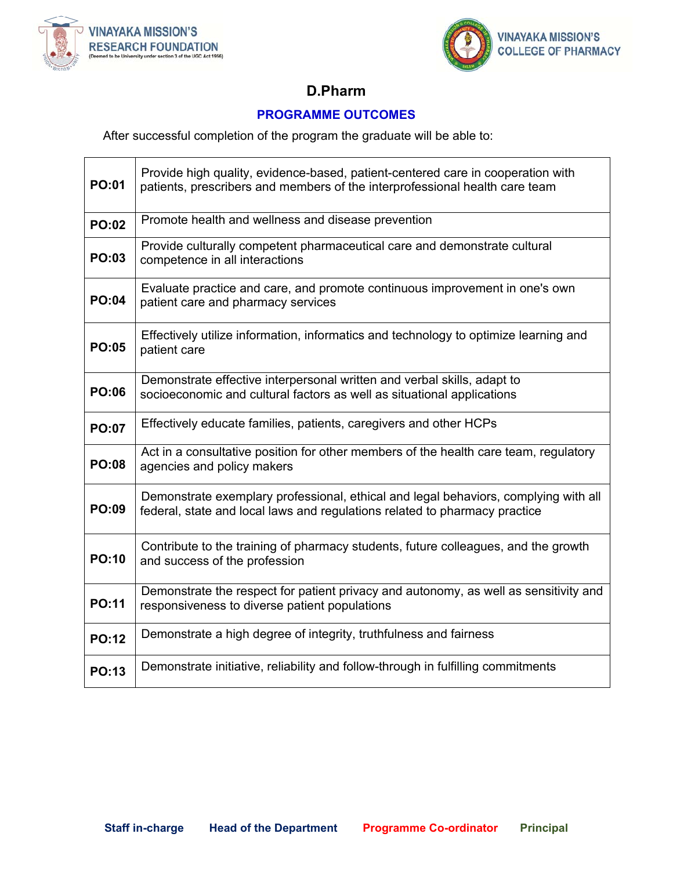



# **D.Pharm**

### **PROGRAMME OUTCOMES**

After successful completion of the program the graduate will be able to:

| <b>PO:01</b> | Provide high quality, evidence-based, patient-centered care in cooperation with<br>patients, prescribers and members of the interprofessional health care team    |
|--------------|-------------------------------------------------------------------------------------------------------------------------------------------------------------------|
| <b>PO:02</b> | Promote health and wellness and disease prevention                                                                                                                |
| <b>PO:03</b> | Provide culturally competent pharmaceutical care and demonstrate cultural<br>competence in all interactions                                                       |
| <b>PO:04</b> | Evaluate practice and care, and promote continuous improvement in one's own<br>patient care and pharmacy services                                                 |
| <b>PO:05</b> | Effectively utilize information, informatics and technology to optimize learning and<br>patient care                                                              |
| <b>PO:06</b> | Demonstrate effective interpersonal written and verbal skills, adapt to<br>socioeconomic and cultural factors as well as situational applications                 |
| <b>PO:07</b> | Effectively educate families, patients, caregivers and other HCPs                                                                                                 |
| <b>PO:08</b> | Act in a consultative position for other members of the health care team, regulatory<br>agencies and policy makers                                                |
| <b>PO:09</b> | Demonstrate exemplary professional, ethical and legal behaviors, complying with all<br>federal, state and local laws and regulations related to pharmacy practice |
| <b>PO:10</b> | Contribute to the training of pharmacy students, future colleagues, and the growth<br>and success of the profession                                               |
| <b>PO:11</b> | Demonstrate the respect for patient privacy and autonomy, as well as sensitivity and<br>responsiveness to diverse patient populations                             |
| <b>PO:12</b> | Demonstrate a high degree of integrity, truthfulness and fairness                                                                                                 |
| <b>PO:13</b> | Demonstrate initiative, reliability and follow-through in fulfilling commitments                                                                                  |